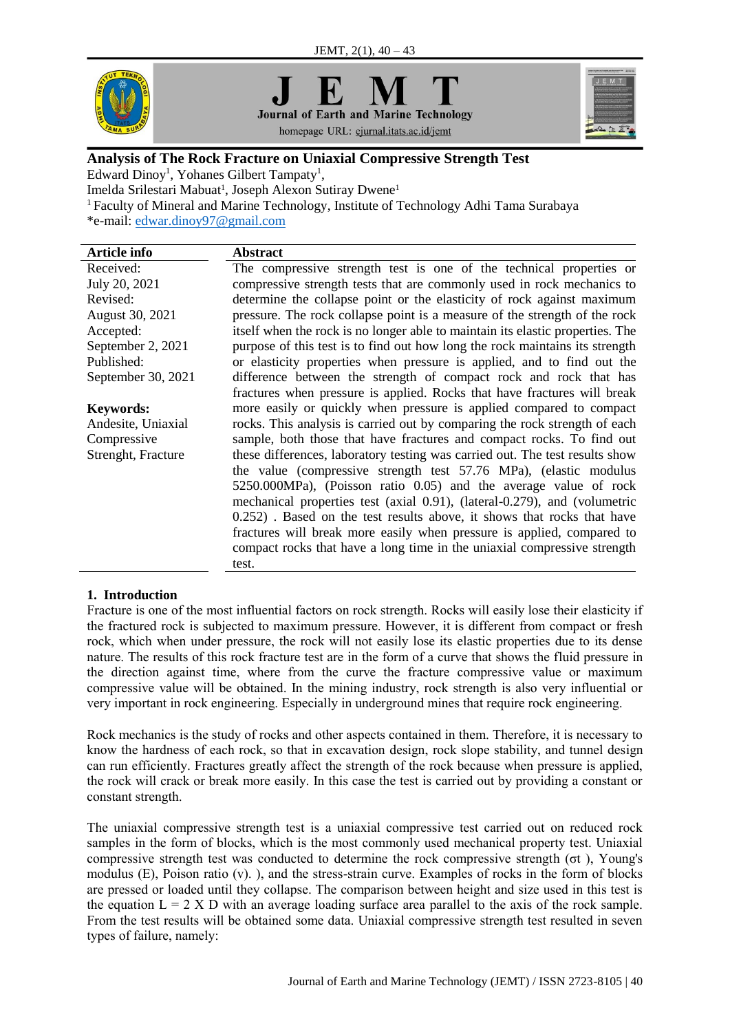



homepage URL: ejurnal.itats.ac.id/jemt



# **Analysis of The Rock Fracture on Uniaxial Compressive Strength Test**

Edward Dinoy<sup>1</sup>, Yohanes Gilbert Tampaty<sup>1</sup>,

Imelda Srilestari Mabuat<sup>1</sup>, Joseph Alexon Sutiray Dwene<sup>1</sup>

<sup>1</sup>Faculty of Mineral and Marine Technology, Institute of Technology Adhi Tama Surabaya

\*e-mail: [edwar.dinoy97@gmail.com](mailto:edwar.dinoy97@gmail.com)

| Article info       | <b>Abstract</b>                                                                |
|--------------------|--------------------------------------------------------------------------------|
| Received:          | The compressive strength test is one of the technical properties or            |
| July 20, 2021      | compressive strength tests that are commonly used in rock mechanics to         |
| Revised:           | determine the collapse point or the elasticity of rock against maximum         |
| August 30, 2021    | pressure. The rock collapse point is a measure of the strength of the rock     |
| Accepted:          | itself when the rock is no longer able to maintain its elastic properties. The |
| September 2, 2021  | purpose of this test is to find out how long the rock maintains its strength   |
| Published:         | or elasticity properties when pressure is applied, and to find out the         |
| September 30, 2021 | difference between the strength of compact rock and rock that has              |
|                    | fractures when pressure is applied. Rocks that have fractures will break       |
| <b>Keywords:</b>   | more easily or quickly when pressure is applied compared to compact            |
| Andesite, Uniaxial | rocks. This analysis is carried out by comparing the rock strength of each     |
| Compressive        | sample, both those that have fractures and compact rocks. To find out          |
| Strenght, Fracture | these differences, laboratory testing was carried out. The test results show   |
|                    | the value (compressive strength test 57.76 MPa), (elastic modulus              |
|                    | 5250.000MPa), (Poisson ratio 0.05) and the average value of rock               |
|                    | mechanical properties test (axial 0.91), (lateral-0.279), and (volumetric      |
|                    | 0.252). Based on the test results above, it shows that rocks that have         |
|                    | fractures will break more easily when pressure is applied, compared to         |
|                    | compact rocks that have a long time in the uniaxial compressive strength       |
|                    | test.                                                                          |
|                    |                                                                                |

## **1. Introduction**

Fracture is one of the most influential factors on rock strength. Rocks will easily lose their elasticity if the fractured rock is subjected to maximum pressure. However, it is different from compact or fresh rock, which when under pressure, the rock will not easily lose its elastic properties due to its dense nature. The results of this rock fracture test are in the form of a curve that shows the fluid pressure in the direction against time, where from the curve the fracture compressive value or maximum compressive value will be obtained. In the mining industry, rock strength is also very influential or very important in rock engineering. Especially in underground mines that require rock engineering.

Rock mechanics is the study of rocks and other aspects contained in them. Therefore, it is necessary to know the hardness of each rock, so that in excavation design, rock slope stability, and tunnel design can run efficiently. Fractures greatly affect the strength of the rock because when pressure is applied, the rock will crack or break more easily. In this case the test is carried out by providing a constant or constant strength.

The uniaxial compressive strength test is a uniaxial compressive test carried out on reduced rock samples in the form of blocks, which is the most commonly used mechanical property test. Uniaxial compressive strength test was conducted to determine the rock compressive strength (σt ), Young's modulus (E), Poison ratio (v). ), and the stress-strain curve. Examples of rocks in the form of blocks are pressed or loaded until they collapse. The comparison between height and size used in this test is the equation  $L = 2 X D$  with an average loading surface area parallel to the axis of the rock sample. From the test results will be obtained some data. Uniaxial compressive strength test resulted in seven types of failure, namely: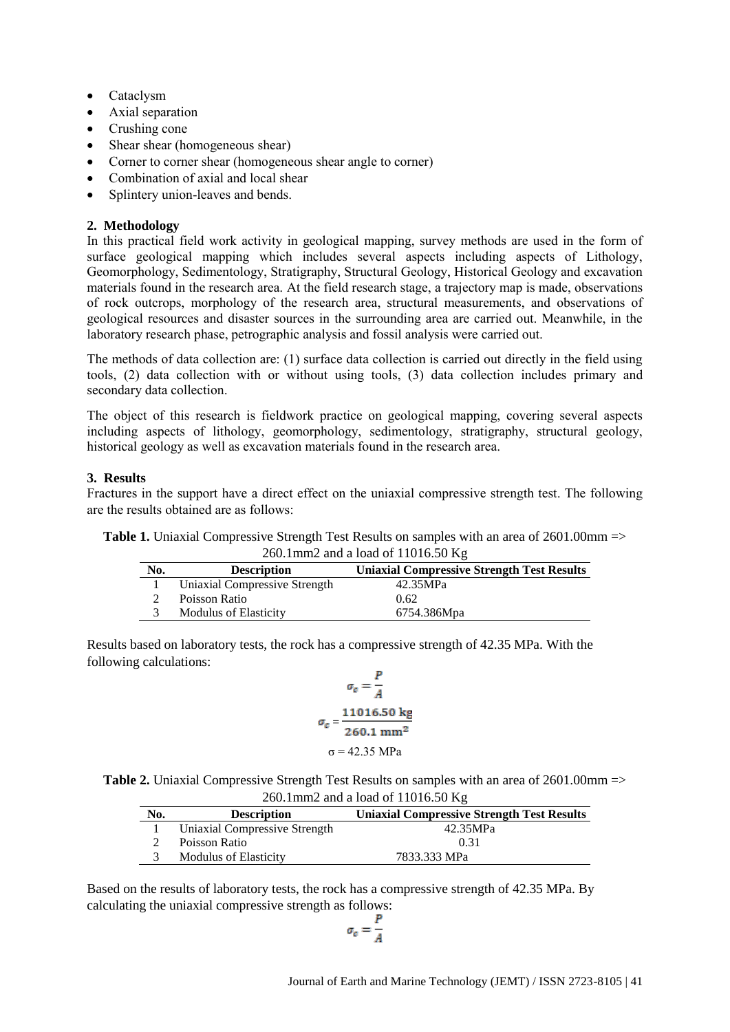- Cataclysm
- Axial separation
- Crushing cone
- Shear shear (homogeneous shear)
- Corner to corner shear (homogeneous shear angle to corner)
- Combination of axial and local shear
- Splintery union-leaves and bends.

## **2. Methodology**

In this practical field work activity in geological mapping, survey methods are used in the form of surface geological mapping which includes several aspects including aspects of Lithology, Geomorphology, Sedimentology, Stratigraphy, Structural Geology, Historical Geology and excavation materials found in the research area. At the field research stage, a trajectory map is made, observations of rock outcrops, morphology of the research area, structural measurements, and observations of geological resources and disaster sources in the surrounding area are carried out. Meanwhile, in the laboratory research phase, petrographic analysis and fossil analysis were carried out.

The methods of data collection are: (1) surface data collection is carried out directly in the field using tools, (2) data collection with or without using tools, (3) data collection includes primary and secondary data collection.

The object of this research is fieldwork practice on geological mapping, covering several aspects including aspects of lithology, geomorphology, sedimentology, stratigraphy, structural geology, historical geology as well as excavation materials found in the research area.

## **3. Results**

Fractures in the support have a direct effect on the uniaxial compressive strength test. The following are the results obtained are as follows:

| <b>Table 1.</b> Uniaxial Compressive Strength Test Results on samples with an area of $2601.00 \text{mm} =$ |
|-------------------------------------------------------------------------------------------------------------|
| 260.1mm2 and a load of $11016.50$ Kg                                                                        |

| No. | <b>Description</b>            | <b>Uniaxial Compressive Strength Test Results</b> |
|-----|-------------------------------|---------------------------------------------------|
|     | Uniaxial Compressive Strength | 42.35MPa                                          |
|     | Poisson Ratio                 | 0.62                                              |
|     | <b>Modulus of Elasticity</b>  | 6754.386Mpa                                       |

Results based on laboratory tests, the rock has a compressive strength of 42.35 MPa. With the following calculations:

$$
\sigma_c = \frac{P}{A}
$$

$$
\sigma_c = \frac{11016.50 \text{ kg}}{260.1 \text{ mm}^2}
$$

$$
\sigma = 42.35 \text{ MPa}
$$

**Table 2.** Uniaxial Compressive Strength Test Results on samples with an area of 2601.00mm => 260.1mm2 and a load of 11016.50 Kg

| No. | <b>Description</b>            | <b>Uniaxial Compressive Strength Test Results</b> |
|-----|-------------------------------|---------------------------------------------------|
|     | Uniaxial Compressive Strength | 42.35MPa                                          |
|     | Poisson Ratio                 | 0.31                                              |
|     | <b>Modulus of Elasticity</b>  | 7833.333 MPa                                      |

Based on the results of laboratory tests, the rock has a compressive strength of 42.35 MPa. By calculating the uniaxial compressive strength as follows:

$$
\sigma_c = \frac{P}{A}
$$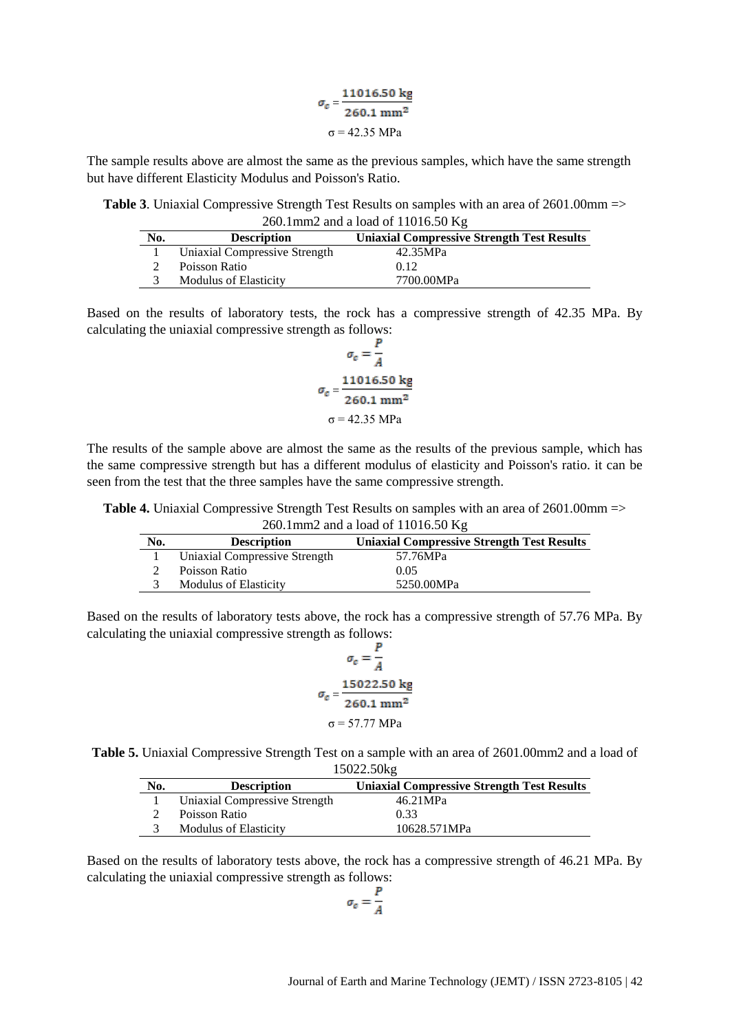| $\sigma_c =$ | 11016.50 kg                  |
|--------------|------------------------------|
|              | $260.1 \text{ mm}^2$         |
|              | $\sigma = 42.35 \text{ MPa}$ |

The sample results above are almost the same as the previous samples, which have the same strength but have different Elasticity Modulus and Poisson's Ratio.

**Table 3**. Uniaxial Compressive Strength Test Results on samples with an area of 2601.00mm => 260.1mm2 and a load of 11016.50 Kg

| No. | <b>Description</b>            | <b>Uniaxial Compressive Strength Test Results</b> |
|-----|-------------------------------|---------------------------------------------------|
|     | Uniaxial Compressive Strength | 42.35MPa                                          |
|     | Poisson Ratio                 | 0.12                                              |
|     | <b>Modulus of Elasticity</b>  | 7700.00MPa                                        |

Based on the results of laboratory tests, the rock has a compressive strength of 42.35 MPa. By calculating the uniaxial compressive strength as follows:

$$
\sigma_c = \frac{r}{A}
$$

$$
\sigma_c = \frac{11016.50 \text{ kg}}{260.1 \text{ mm}^2}
$$

$$
\sigma = 42.35 \text{ MPa}
$$

The results of the sample above are almost the same as the results of the previous sample, which has the same compressive strength but has a different modulus of elasticity and Poisson's ratio. it can be seen from the test that the three samples have the same compressive strength.

**Table 4.** Uniaxial Compressive Strength Test Results on samples with an area of 2601.00mm => 260.1mm2 and a load of 11016.50  $K_{\sigma}$ 

| No. | <b>Description</b>            | <b>Uniaxial Compressive Strength Test Results</b> |
|-----|-------------------------------|---------------------------------------------------|
|     | Uniaxial Compressive Strength | 57.76MPa                                          |
|     | Poisson Ratio                 | 0.05                                              |
|     | <b>Modulus of Elasticity</b>  | 5250.00MPa                                        |

Based on the results of laboratory tests above, the rock has a compressive strength of 57.76 MPa. By calculating the uniaxial compressive strength as follows:

$$
\sigma_c = \frac{P}{A}
$$

$$
\sigma_c = \frac{15022.50 \text{ kg}}{260.1 \text{ mm}^2}
$$

$$
\sigma = 57.77 \text{ MPa}
$$

**Table 5.** Uniaxial Compressive Strength Test on a sample with an area of 2601.00mm2 and a load of 15022.50kg

| No. | <b>Description</b>            | <b>Uniaxial Compressive Strength Test Results</b> |
|-----|-------------------------------|---------------------------------------------------|
|     | Uniaxial Compressive Strength | 46.21MPa                                          |
|     | Poisson Ratio                 | 0.33                                              |
|     | <b>Modulus of Elasticity</b>  | 10628.571MPa                                      |

Based on the results of laboratory tests above, the rock has a compressive strength of 46.21 MPa. By calculating the uniaxial compressive strength as follows:

 $\sigma_c = \frac{P}{4}$